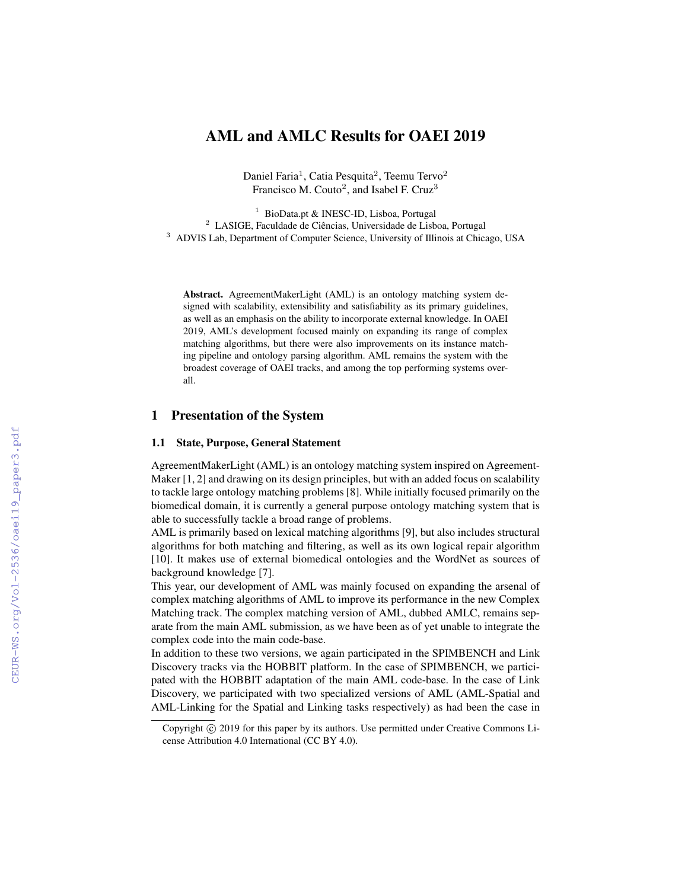# AML and AMLC Results for OAEI 2019

Daniel Faria<sup>1</sup>, Catia Pesquita<sup>2</sup>, Teemu Tervo<sup>2</sup> Francisco M. Couto<sup>2</sup>, and Isabel F. Cruz<sup>3</sup>

<sup>1</sup> BioData.pt & INESC-ID, Lisboa, Portugal <sup>2</sup> LASIGE, Faculdade de Ciências, Universidade de Lisboa, Portugal <sup>3</sup> ADVIS Lab, Department of Computer Science, University of Illinois at Chicago, USA

Abstract. AgreementMakerLight (AML) is an ontology matching system designed with scalability, extensibility and satisfiability as its primary guidelines, as well as an emphasis on the ability to incorporate external knowledge. In OAEI 2019, AML's development focused mainly on expanding its range of complex matching algorithms, but there were also improvements on its instance matching pipeline and ontology parsing algorithm. AML remains the system with the broadest coverage of OAEI tracks, and among the top performing systems overall.

### 1 Presentation of the System

### 1.1 State, Purpose, General Statement

AgreementMakerLight (AML) is an ontology matching system inspired on Agreement-Maker [1, 2] and drawing on its design principles, but with an added focus on scalability to tackle large ontology matching problems [8]. While initially focused primarily on the biomedical domain, it is currently a general purpose ontology matching system that is able to successfully tackle a broad range of problems.

AML is primarily based on lexical matching algorithms [9], but also includes structural algorithms for both matching and filtering, as well as its own logical repair algorithm [10]. It makes use of external biomedical ontologies and the WordNet as sources of background knowledge [7].

This year, our development of AML was mainly focused on expanding the arsenal of complex matching algorithms of AML to improve its performance in the new Complex Matching track. The complex matching version of AML, dubbed AMLC, remains separate from the main AML submission, as we have been as of yet unable to integrate the complex code into the main code-base.

In addition to these two versions, we again participated in the SPIMBENCH and Link Discovery tracks via the HOBBIT platform. In the case of SPIMBENCH, we participated with the HOBBIT adaptation of the main AML code-base. In the case of Link Discovery, we participated with two specialized versions of AML (AML-Spatial and AML-Linking for the Spatial and Linking tasks respectively) as had been the case in

Copyright (c) 2019 for this paper by its authors. Use permitted under Creative Commons License Attribution 4.0 International (CC BY 4.0).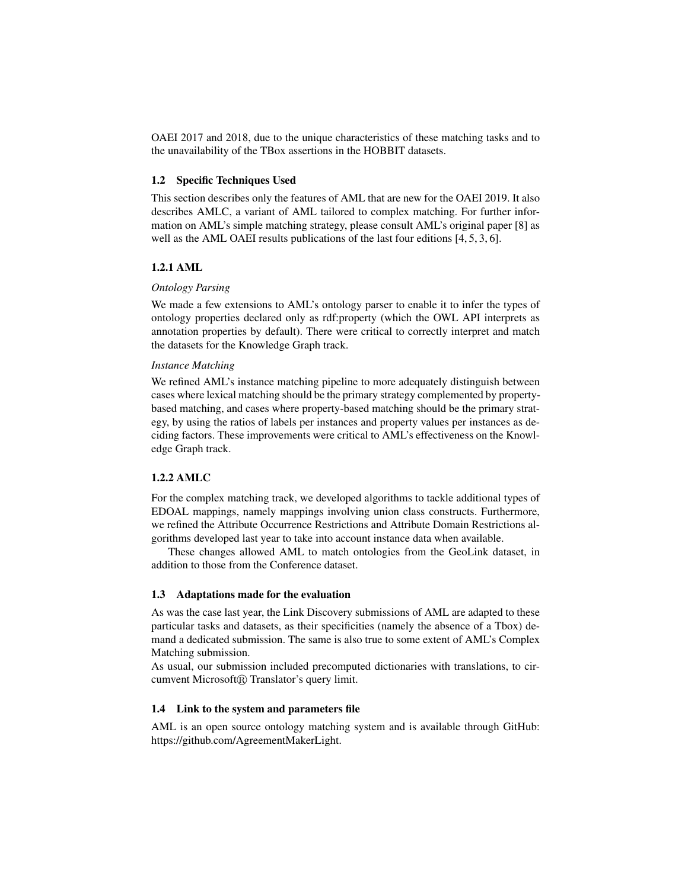OAEI 2017 and 2018, due to the unique characteristics of these matching tasks and to the unavailability of the TBox assertions in the HOBBIT datasets.

#### 1.2 Specific Techniques Used

This section describes only the features of AML that are new for the OAEI 2019. It also describes AMLC, a variant of AML tailored to complex matching. For further information on AML's simple matching strategy, please consult AML's original paper [8] as well as the AML OAEI results publications of the last four editions [4, 5, 3, 6].

#### 1.2.1 AML

#### *Ontology Parsing*

We made a few extensions to AML's ontology parser to enable it to infer the types of ontology properties declared only as rdf:property (which the OWL API interprets as annotation properties by default). There were critical to correctly interpret and match the datasets for the Knowledge Graph track.

### *Instance Matching*

We refined AML's instance matching pipeline to more adequately distinguish between cases where lexical matching should be the primary strategy complemented by propertybased matching, and cases where property-based matching should be the primary strategy, by using the ratios of labels per instances and property values per instances as deciding factors. These improvements were critical to AML's effectiveness on the Knowledge Graph track.

#### 1.2.2 AMLC

For the complex matching track, we developed algorithms to tackle additional types of EDOAL mappings, namely mappings involving union class constructs. Furthermore, we refined the Attribute Occurrence Restrictions and Attribute Domain Restrictions algorithms developed last year to take into account instance data when available.

These changes allowed AML to match ontologies from the GeoLink dataset, in addition to those from the Conference dataset.

#### 1.3 Adaptations made for the evaluation

As was the case last year, the Link Discovery submissions of AML are adapted to these particular tasks and datasets, as their specificities (namely the absence of a Tbox) demand a dedicated submission. The same is also true to some extent of AML's Complex Matching submission.

As usual, our submission included precomputed dictionaries with translations, to circumvent Microsoft® Translator's query limit.

#### 1.4 Link to the system and parameters file

AML is an open source ontology matching system and is available through GitHub: https://github.com/AgreementMakerLight.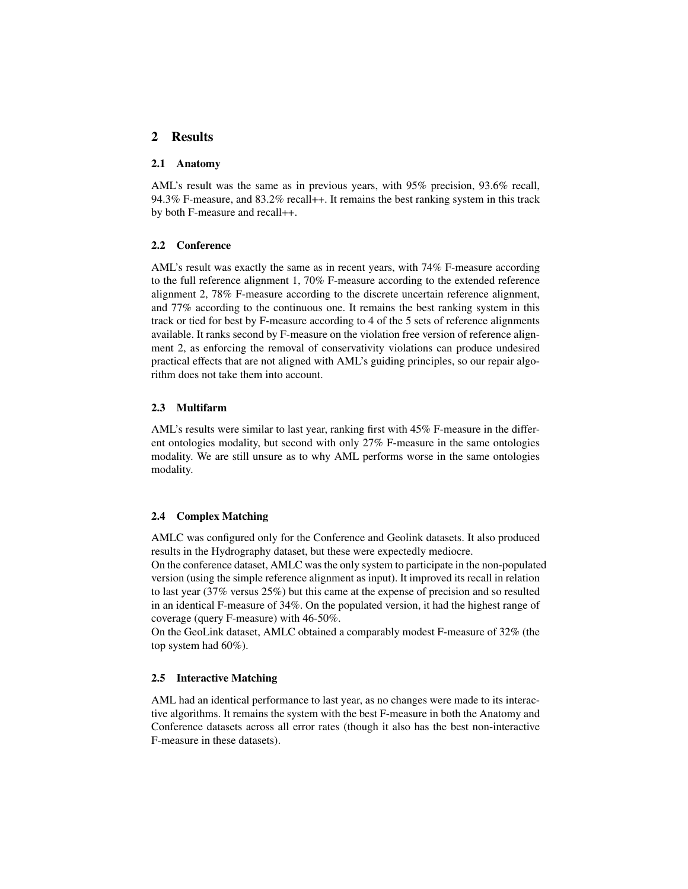## 2 Results

#### 2.1 Anatomy

AML's result was the same as in previous years, with 95% precision, 93.6% recall, 94.3% F-measure, and 83.2% recall++. It remains the best ranking system in this track by both F-measure and recall++.

#### 2.2 Conference

AML's result was exactly the same as in recent years, with 74% F-measure according to the full reference alignment 1, 70% F-measure according to the extended reference alignment 2, 78% F-measure according to the discrete uncertain reference alignment, and 77% according to the continuous one. It remains the best ranking system in this track or tied for best by F-measure according to 4 of the 5 sets of reference alignments available. It ranks second by F-measure on the violation free version of reference alignment 2, as enforcing the removal of conservativity violations can produce undesired practical effects that are not aligned with AML's guiding principles, so our repair algorithm does not take them into account.

### 2.3 Multifarm

AML's results were similar to last year, ranking first with 45% F-measure in the different ontologies modality, but second with only 27% F-measure in the same ontologies modality. We are still unsure as to why AML performs worse in the same ontologies modality.

#### 2.4 Complex Matching

AMLC was configured only for the Conference and Geolink datasets. It also produced results in the Hydrography dataset, but these were expectedly mediocre.

On the conference dataset, AMLC was the only system to participate in the non-populated version (using the simple reference alignment as input). It improved its recall in relation to last year (37% versus 25%) but this came at the expense of precision and so resulted in an identical F-measure of 34%. On the populated version, it had the highest range of coverage (query F-measure) with 46-50%.

On the GeoLink dataset, AMLC obtained a comparably modest F-measure of 32% (the top system had 60%).

### 2.5 Interactive Matching

AML had an identical performance to last year, as no changes were made to its interactive algorithms. It remains the system with the best F-measure in both the Anatomy and Conference datasets across all error rates (though it also has the best non-interactive F-measure in these datasets).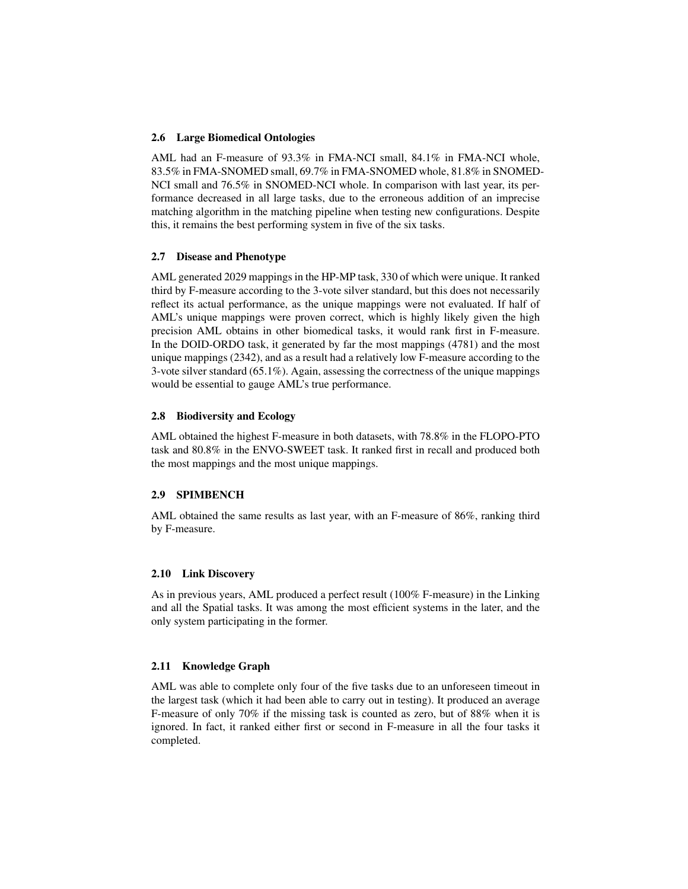### 2.6 Large Biomedical Ontologies

AML had an F-measure of 93.3% in FMA-NCI small, 84.1% in FMA-NCI whole, 83.5% in FMA-SNOMED small, 69.7% in FMA-SNOMED whole, 81.8% in SNOMED-NCI small and 76.5% in SNOMED-NCI whole. In comparison with last year, its performance decreased in all large tasks, due to the erroneous addition of an imprecise matching algorithm in the matching pipeline when testing new configurations. Despite this, it remains the best performing system in five of the six tasks.

### 2.7 Disease and Phenotype

AML generated 2029 mappings in the HP-MP task, 330 of which were unique. It ranked third by F-measure according to the 3-vote silver standard, but this does not necessarily reflect its actual performance, as the unique mappings were not evaluated. If half of AML's unique mappings were proven correct, which is highly likely given the high precision AML obtains in other biomedical tasks, it would rank first in F-measure. In the DOID-ORDO task, it generated by far the most mappings (4781) and the most unique mappings (2342), and as a result had a relatively low F-measure according to the 3-vote silver standard (65.1%). Again, assessing the correctness of the unique mappings would be essential to gauge AML's true performance.

#### 2.8 Biodiversity and Ecology

AML obtained the highest F-measure in both datasets, with 78.8% in the FLOPO-PTO task and 80.8% in the ENVO-SWEET task. It ranked first in recall and produced both the most mappings and the most unique mappings.

#### 2.9 SPIMBENCH

AML obtained the same results as last year, with an F-measure of 86%, ranking third by F-measure.

#### 2.10 Link Discovery

As in previous years, AML produced a perfect result (100% F-measure) in the Linking and all the Spatial tasks. It was among the most efficient systems in the later, and the only system participating in the former.

#### 2.11 Knowledge Graph

AML was able to complete only four of the five tasks due to an unforeseen timeout in the largest task (which it had been able to carry out in testing). It produced an average F-measure of only 70% if the missing task is counted as zero, but of 88% when it is ignored. In fact, it ranked either first or second in F-measure in all the four tasks it completed.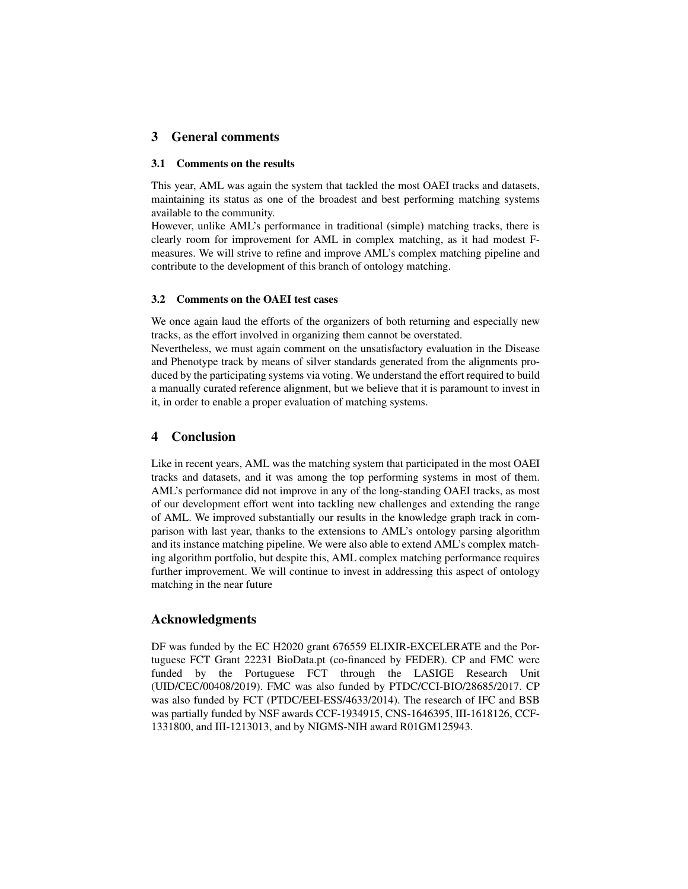# 3 General comments

#### 3.1 Comments on the results

This year, AML was again the system that tackled the most OAEI tracks and datasets, maintaining its status as one of the broadest and best performing matching systems available to the community.

However, unlike AML's performance in traditional (simple) matching tracks, there is clearly room for improvement for AML in complex matching, as it had modest Fmeasures. We will strive to refine and improve AML's complex matching pipeline and contribute to the development of this branch of ontology matching.

#### 3.2 Comments on the OAEI test cases

We once again laud the efforts of the organizers of both returning and especially new tracks, as the effort involved in organizing them cannot be overstated.

Nevertheless, we must again comment on the unsatisfactory evaluation in the Disease and Phenotype track by means of silver standards generated from the alignments produced by the participating systems via voting. We understand the effort required to build a manually curated reference alignment, but we believe that it is paramount to invest in it, in order to enable a proper evaluation of matching systems.

### 4 Conclusion

Like in recent years, AML was the matching system that participated in the most OAEI tracks and datasets, and it was among the top performing systems in most of them. AML's performance did not improve in any of the long-standing OAEI tracks, as most of our development effort went into tackling new challenges and extending the range of AML. We improved substantially our results in the knowledge graph track in comparison with last year, thanks to the extensions to AML's ontology parsing algorithm and its instance matching pipeline. We were also able to extend AML's complex matching algorithm portfolio, but despite this, AML complex matching performance requires further improvement. We will continue to invest in addressing this aspect of ontology matching in the near future

### Acknowledgments

DF was funded by the EC H2020 grant 676559 ELIXIR-EXCELERATE and the Portuguese FCT Grant 22231 BioData.pt (co-financed by FEDER). CP and FMC were funded by the Portuguese FCT through the LASIGE Research Unit (UID/CEC/00408/2019). FMC was also funded by PTDC/CCI-BIO/28685/2017. CP was also funded by FCT (PTDC/EEI-ESS/4633/2014). The research of IFC and BSB was partially funded by NSF awards CCF-1934915, CNS-1646395, III-1618126, CCF-1331800, and III-1213013, and by NIGMS-NIH award R01GM125943.